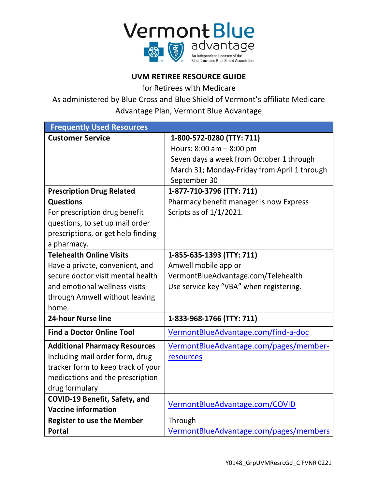

# **UVM RETIREE RESOURCE GUIDE**

for Retirees with Medicare

As administered by Blue Cross and Blue Shield of Vermont's affiliate Medicare Advantage Plan, Vermont Blue Advantage

| <b>Frequently Used Resources</b>     |                                              |
|--------------------------------------|----------------------------------------------|
| <b>Customer Service</b>              | 1-800-572-0280 (TTY: 711)                    |
|                                      | Hours: 8:00 am - 8:00 pm                     |
|                                      | Seven days a week from October 1 through     |
|                                      | March 31; Monday-Friday from April 1 through |
|                                      | September 30                                 |
| <b>Prescription Drug Related</b>     | 1-877-710-3796 (TTY: 711)                    |
| <b>Questions</b>                     | Pharmacy benefit manager is now Express      |
| For prescription drug benefit        | Scripts as of $1/1/2021$ .                   |
| questions, to set up mail order      |                                              |
| prescriptions, or get help finding   |                                              |
| a pharmacy.                          |                                              |
| <b>Telehealth Online Visits</b>      | 1-855-635-1393 (TTY: 711)                    |
| Have a private, convenient, and      | Amwell mobile app or                         |
| secure doctor visit mental health    | VermontBlueAdvantage.com/Telehealth          |
| and emotional wellness visits        | Use service key "VBA" when registering.      |
| through Amwell without leaving       |                                              |
| home.                                |                                              |
| <b>24-hour Nurse line</b>            | 1-833-968-1766 (TTY: 711)                    |
| <b>Find a Doctor Online Tool</b>     | VermontBlueAdvantage.com/find-a-doc          |
| <b>Additional Pharmacy Resources</b> | VermontBlueAdvantage.com/pages/member-       |
| Including mail order form, drug      | resources                                    |
| tracker form to keep track of your   |                                              |
| medications and the prescription     |                                              |
| drug formulary                       |                                              |
| COVID-19 Benefit, Safety, and        | VermontBlueAdvantage.com/COVID               |
| <b>Vaccine information</b>           |                                              |
| <b>Register to use the Member</b>    | Through                                      |
| <b>Portal</b>                        | VermontBlueAdvantage.com/pages/members       |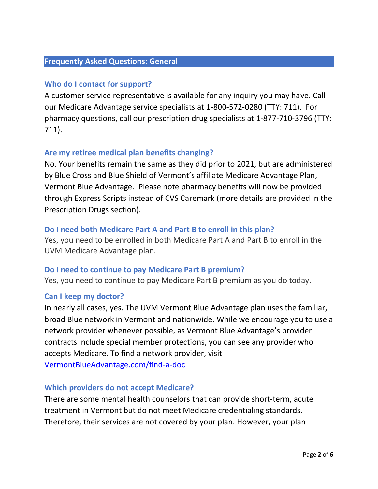### **Frequently Asked Questions: General**

## **Who do I contact for support?**

A customer service representative is available for any inquiry you may have. Call our Medicare Advantage service specialists at 1-800-572-0280 (TTY: 711). For pharmacy questions, call our prescription drug specialists at 1-877-710-3796 (TTY: 711).

## **Are my retiree medical plan benefits changing?**

No. Your benefits remain the same as they did prior to 2021, but are administered by Blue Cross and Blue Shield of Vermont's affiliate Medicare Advantage Plan, Vermont Blue Advantage. Please note pharmacy benefits will now be provided through Express Scripts instead of CVS Caremark (more details are provided in the Prescription Drugs section).

### **Do I need both Medicare Part A and Part B to enroll in this plan?**

Yes, you need to be enrolled in both Medicare Part A and Part B to enroll in the UVM Medicare Advantage plan.

### **Do I need to continue to pay Medicare Part B premium?**

Yes, you need to continue to pay Medicare Part B premium as you do today.

### **Can I keep my doctor?**

In nearly all cases, yes. The UVM Vermont Blue Advantage plan uses the familiar, broad Blue network in Vermont and nationwide. While we encourage you to use a network provider whenever possible, as Vermont Blue Advantage's provider contracts include special member protections, you can see any provider who accepts Medicare. To find a network provider, visit

[VermontBlueAdvantage.com/find-a-doc](https://www.vermontblueadvantage.com/find-a-doc)

#### **Which providers do not accept Medicare?**

There are some mental health counselors that can provide short-term, acute treatment in Vermont but do not meet Medicare credentialing standards. Therefore, their services are not covered by your plan. However, your plan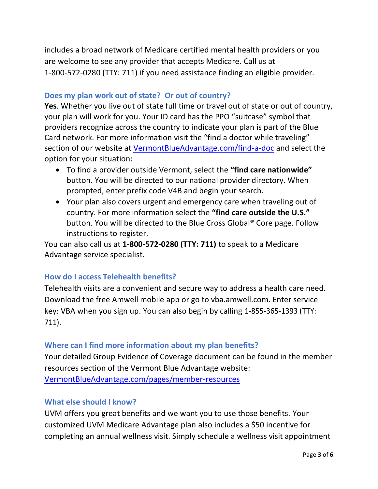includes a broad network of Medicare certified mental health providers or you are welcome to see any provider that accepts Medicare. Call us at 1-800-572-0280 (TTY: 711) if you need assistance finding an eligible provider.

## **Does my plan work out of state? Or out of country?**

**Yes**. Whether you live out of state full time or travel out of state or out of country, your plan will work for you. Your ID card has the PPO "suitcase" symbol that providers recognize across the country to indicate your plan is part of the Blue Card network. For more information visit the "find a doctor while traveling" section of our website at [VermontBlueAdvantage.com/find-a-doc](https://www.vermontblueadvantage.com/find-a-doc) and select the option for your situation:

- To find a provider outside Vermont, select the **"find care nationwide"** button. You will be directed to our national provider directory. When prompted, enter prefix code V4B and begin your search.
- Your plan also covers urgent and emergency care when traveling out of country. For more information select the **"find care outside the U.S."** button. You will be directed to the Blue Cross Global® Core page. Follow instructions to register.

You can also call us at **1-800-572-0280 (TTY: 711)** to speak to a Medicare Advantage service specialist.

## **How do I access Telehealth benefits?**

Telehealth visits are a convenient and secure way to address a health care need. Download the free Amwell mobile app or go to vba.amwell.com. Enter service key: VBA when you sign up. You can also begin by calling 1-855-365-1393 (TTY: 711).

## **Where can I find more information about my plan benefits?**

Your detailed Group Evidence of Coverage document can be found in the member resources section of the Vermont Blue Advantage website: [VermontBlueAdvantage.com/pages/member-resources](https://www.vermontblueadvantage.com/pages/member-resources)

### **What else should I know?**

UVM offers you great benefits and we want you to use those benefits. Your customized UVM Medicare Advantage plan also includes a \$50 incentive for completing an annual wellness visit. Simply schedule a wellness visit appointment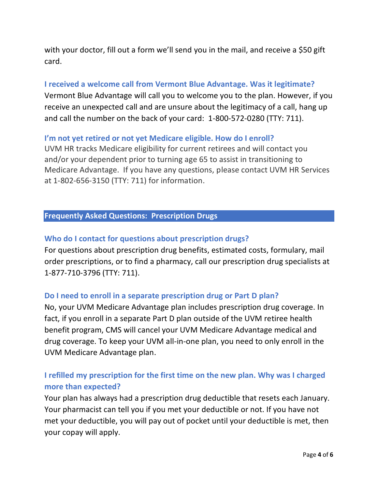with your doctor, fill out a form we'll send you in the mail, and receive a \$50 gift card.

## **I received a welcome call from Vermont Blue Advantage. Was it legitimate?**

Vermont Blue Advantage will call you to welcome you to the plan. However, if you receive an unexpected call and are unsure about the legitimacy of a call, hang up and call the number on the back of your card: 1-800-572-0280 (TTY: 711).

## **I'm not yet retired or not yet Medicare eligible. How do I enroll?**

UVM HR tracks Medicare eligibility for current retirees and will contact you and/or your dependent prior to turning age 65 to assist in transitioning to Medicare Advantage. If you have any questions, please contact UVM HR Services at 1-802-656-3150 (TTY: 711) for information.

## **Frequently Asked Questions: Prescription Drugs**

## **Who do I contact for questions about prescription drugs?**

For questions about prescription drug benefits, estimated costs, formulary, mail order prescriptions, or to find a pharmacy, call our prescription drug specialists at 1-877-710-3796 (TTY: 711).

### **Do I need to enroll in a separate prescription drug or Part D plan?**

No, your UVM Medicare Advantage plan includes prescription drug coverage. In fact, if you enroll in a separate Part D plan outside of the UVM retiree health benefit program, CMS will cancel your UVM Medicare Advantage medical and drug coverage. To keep your UVM all-in-one plan, you need to only enroll in the UVM Medicare Advantage plan.

## **I refilled my prescription for the first time on the new plan. Why was I charged more than expected?**

Your plan has always had a prescription drug deductible that resets each January. Your pharmacist can tell you if you met your deductible or not. If you have not met your deductible, you will pay out of pocket until your deductible is met, then your copay will apply.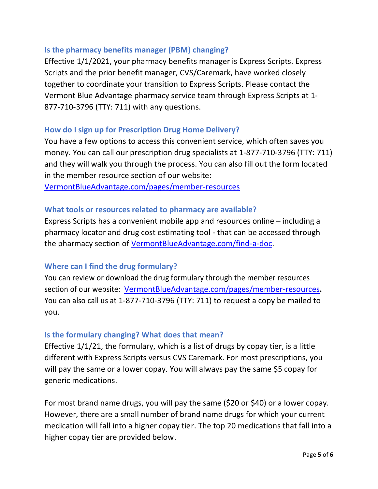## **Is the pharmacy benefits manager (PBM) changing?**

Effective 1/1/2021, your pharmacy benefits manager is Express Scripts. Express Scripts and the prior benefit manager, CVS/Caremark, have worked closely together to coordinate your transition to Express Scripts. Please contact the Vermont Blue Advantage pharmacy service team through Express Scripts at 1- 877-710-3796 (TTY: 711) with any questions.

## **How do I sign up for Prescription Drug Home Delivery?**

You have a few options to access this convenient service, which often saves you money. You can call our prescription drug specialists at 1-877-710-3796 (TTY: 711) and they will walk you through the process. You can also fill out the form located in the member resource section of our website**:** 

[VermontBlueAdvantage.com/pages/member-resources](https://www.vermontblueadvantage.com/pages/member-resources)

### **What tools or resources related to pharmacy are available?**

Express Scripts has a convenient mobile app and resources online – including a pharmacy locator and drug cost estimating tool - that can be accessed through the pharmacy section of [VermontBlueAdvantage.com/find-a-doc.](https://www.vermontblueadvantage.com/find-a-doc)

## **Where can I find the drug formulary?**

You can review or download the drug formulary through the member resources section of our website: [VermontBlueAdvantage.com/pages/member-resources](https://www.vermontblueadvantage.com/pages/member-resources)**.** You can also call us at 1-877-710-3796 (TTY: 711) to request a copy be mailed to you.

### **Is the formulary changing? What does that mean?**

Effective 1/1/21, the formulary, which is a list of drugs by copay tier, is a little different with Express Scripts versus CVS Caremark. For most prescriptions, you will pay the same or a lower copay. You will always pay the same \$5 copay for generic medications.

For most brand name drugs, you will pay the same (\$20 or \$40) or a lower copay. However, there are a small number of brand name drugs for which your current medication will fall into a higher copay tier. The top 20 medications that fall into a higher copay tier are provided below.